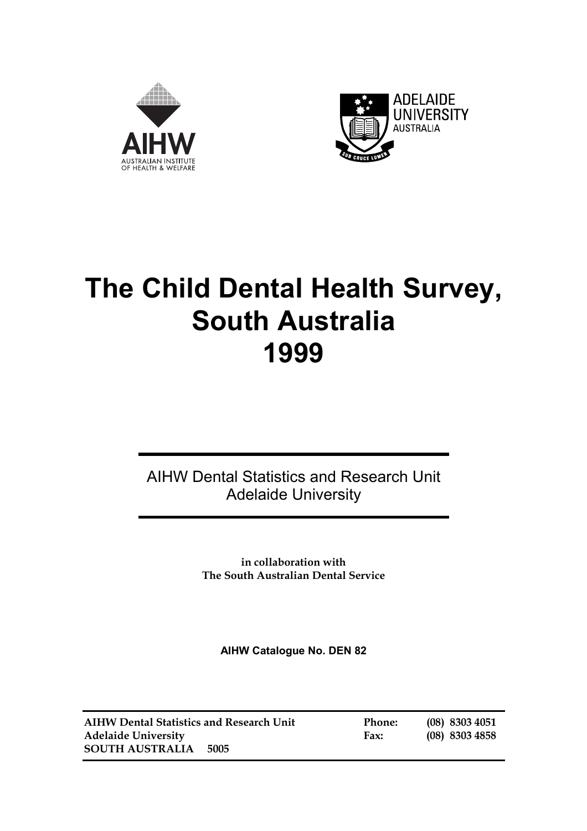



# **The Child Dental Health Survey, South Australia 1999**

AIHW Dental Statistics and Research Unit Adelaide University

> **in collaboration with The South Australian Dental Service**

**AIHW Catalogue No. DEN 82** 

| <b>AIHW Dental Statistics and Research Unit</b> |      |  |
|-------------------------------------------------|------|--|
| <b>Adelaide University</b>                      |      |  |
| <b>SOUTH AUSTRALIA</b>                          | 5005 |  |

**Phone:** (08) 8303 4051 **Adelaide University Fax: (08) 8303 4858**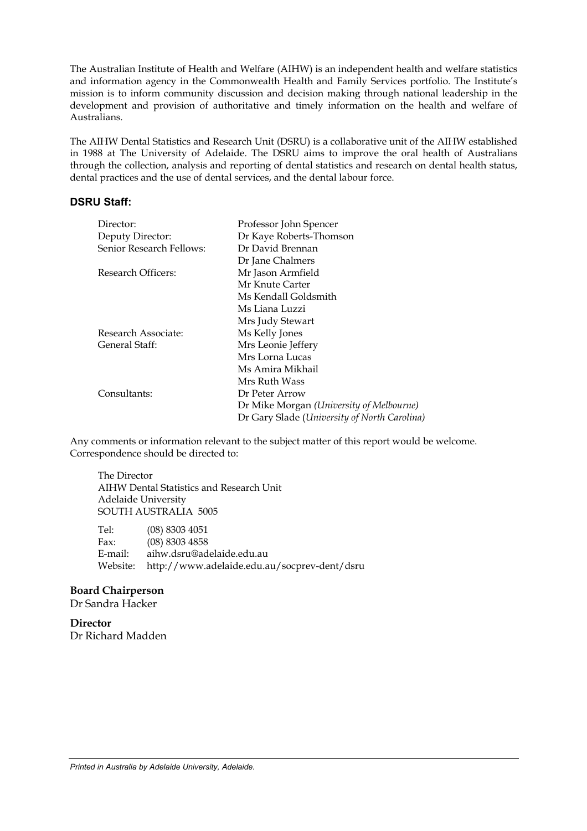The Australian Institute of Health and Welfare (AIHW) is an independent health and welfare statistics and information agency in the Commonwealth Health and Family Services portfolio. The Institute's mission is to inform community discussion and decision making through national leadership in the development and provision of authoritative and timely information on the health and welfare of Australians.

The AIHW Dental Statistics and Research Unit (DSRU) is a collaborative unit of the AIHW established in 1988 at The University of Adelaide. The DSRU aims to improve the oral health of Australians through the collection, analysis and reporting of dental statistics and research on dental health status, dental practices and the use of dental services, and the dental labour force.

#### **DSRU Staff:**

| Director:                | Professor John Spencer                       |
|--------------------------|----------------------------------------------|
| Deputy Director:         | Dr Kaye Roberts-Thomson                      |
| Senior Research Fellows: | Dr David Brennan                             |
|                          | Dr Jane Chalmers                             |
| Research Officers:       | Mr Jason Armfield                            |
|                          | Mr Knute Carter                              |
|                          | Ms Kendall Goldsmith                         |
|                          | Ms Liana Luzzi                               |
|                          | Mrs Judy Stewart                             |
| Research Associate:      | Ms Kelly Jones                               |
| General Staff:           | Mrs Leonie Jeffery                           |
|                          | Mrs Lorna Lucas                              |
|                          | Ms Amira Mikhail                             |
|                          | Mrs Ruth Wass                                |
| Consultants:             | Dr Peter Arrow                               |
|                          | Dr Mike Morgan (University of Melbourne)     |
|                          | Dr Gary Slade (University of North Carolina) |

Any comments or information relevant to the subject matter of this report would be welcome. Correspondence should be directed to:

 The Director AIHW Dental Statistics and Research Unit Adelaide University SOUTH AUSTRALIA 5005

 Tel: (08) 8303 4051 Fax: (08) 8303 4858 E-mail: aihw.dsru@adelaide.edu.au Website: http://www.adelaide.edu.au/socprev-dent/dsru

#### **Board Chairperson**

Dr Sandra Hacker

**Director** Dr Richard Madden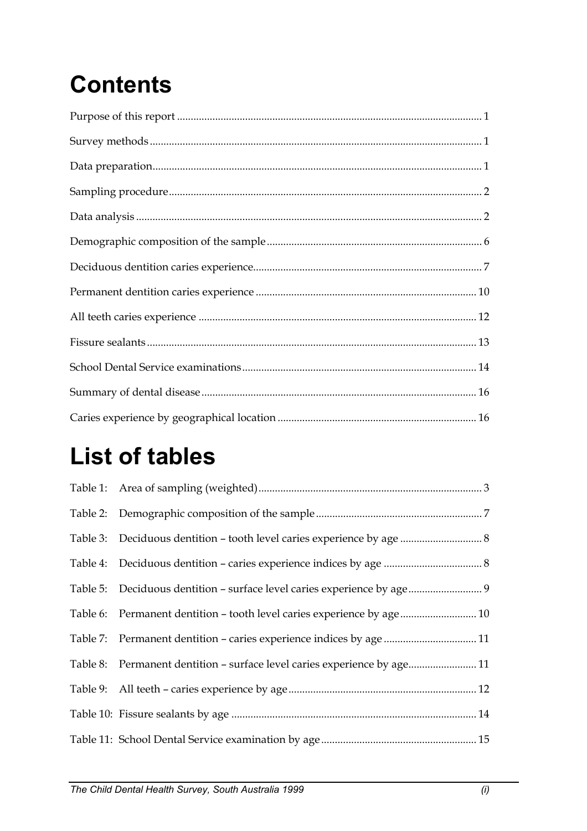# **Contents**

# **List of tables**

| Table 3: Deciduous dentition - tooth level caries experience by age  8   |  |
|--------------------------------------------------------------------------|--|
|                                                                          |  |
| Table 5: Deciduous dentition - surface level caries experience by age 9  |  |
| Table 6: Permanent dentition - tooth level caries experience by age 10   |  |
|                                                                          |  |
| Table 8: Permanent dentition - surface level caries experience by age 11 |  |
|                                                                          |  |
|                                                                          |  |
|                                                                          |  |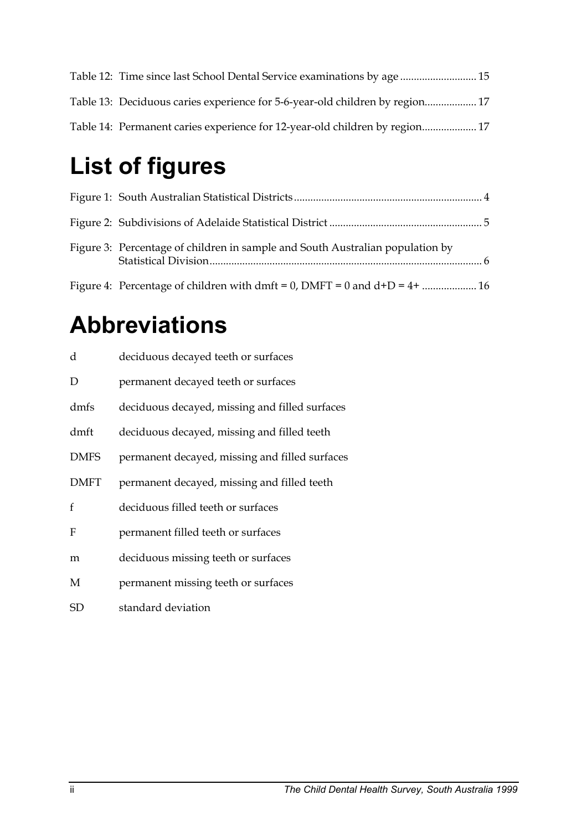| Table 12: Time since last School Dental Service examinations by age  15      |  |
|------------------------------------------------------------------------------|--|
| Table 13: Deciduous caries experience for 5-6-year-old children by region 17 |  |
| Table 14: Permanent caries experience for 12-year-old children by region 17  |  |

# **List of figures**

| Figure 3: Percentage of children in sample and South Australian population by |  |
|-------------------------------------------------------------------------------|--|
|                                                                               |  |

# **Abbreviations**

| d            | deciduous decayed teeth or surfaces            |
|--------------|------------------------------------------------|
| D            | permanent decayed teeth or surfaces            |
| dmfs         | deciduous decayed, missing and filled surfaces |
| dmft         | deciduous decayed, missing and filled teeth    |
| <b>DMFS</b>  | permanent decayed, missing and filled surfaces |
| <b>DMFT</b>  | permanent decayed, missing and filled teeth    |
| $\mathbf{f}$ | deciduous filled teeth or surfaces             |
| F            | permanent filled teeth or surfaces             |
| m            | deciduous missing teeth or surfaces            |
| M            | permanent missing teeth or surfaces            |
| SD           | standard deviation                             |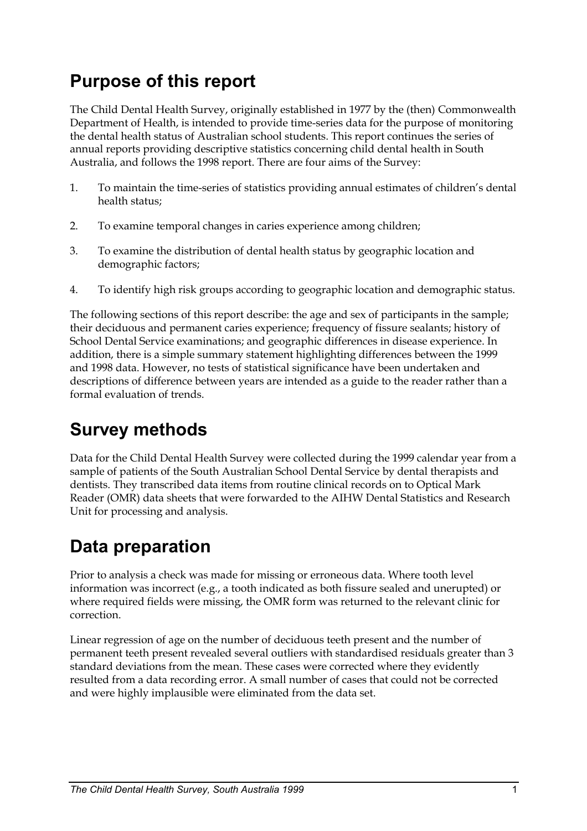# **Purpose of this report**

The Child Dental Health Survey, originally established in 1977 by the (then) Commonwealth Department of Health, is intended to provide time-series data for the purpose of monitoring the dental health status of Australian school students. This report continues the series of annual reports providing descriptive statistics concerning child dental health in South Australia, and follows the 1998 report. There are four aims of the Survey:

- 1. To maintain the time-series of statistics providing annual estimates of children's dental health status;
- 2. To examine temporal changes in caries experience among children;
- 3. To examine the distribution of dental health status by geographic location and demographic factors;
- 4. To identify high risk groups according to geographic location and demographic status.

The following sections of this report describe: the age and sex of participants in the sample; their deciduous and permanent caries experience; frequency of fissure sealants; history of School Dental Service examinations; and geographic differences in disease experience. In addition, there is a simple summary statement highlighting differences between the 1999 and 1998 data. However, no tests of statistical significance have been undertaken and descriptions of difference between years are intended as a guide to the reader rather than a formal evaluation of trends.

## **Survey methods**

Data for the Child Dental Health Survey were collected during the 1999 calendar year from a sample of patients of the South Australian School Dental Service by dental therapists and dentists. They transcribed data items from routine clinical records on to Optical Mark Reader (OMR) data sheets that were forwarded to the AIHW Dental Statistics and Research Unit for processing and analysis.

## **Data preparation**

Prior to analysis a check was made for missing or erroneous data. Where tooth level information was incorrect (e.g., a tooth indicated as both fissure sealed and unerupted) or where required fields were missing, the OMR form was returned to the relevant clinic for correction.

Linear regression of age on the number of deciduous teeth present and the number of permanent teeth present revealed several outliers with standardised residuals greater than 3 standard deviations from the mean. These cases were corrected where they evidently resulted from a data recording error. A small number of cases that could not be corrected and were highly implausible were eliminated from the data set.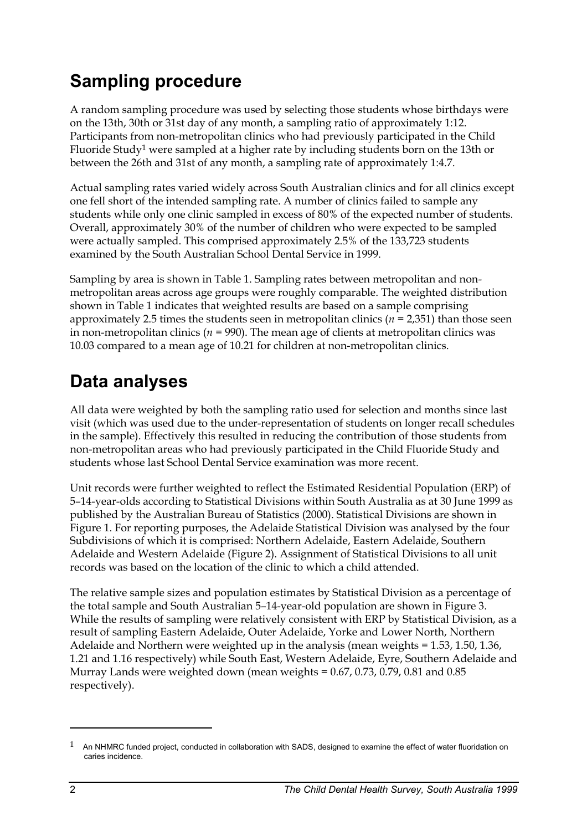# **Sampling procedure**

A random sampling procedure was used by selecting those students whose birthdays were on the 13th, 30th or 31st day of any month, a sampling ratio of approximately 1:12. Participants from non-metropolitan clinics who had previously participated in the Child Fluoride Stud[y1 w](#page-5-0)ere sampled at a higher rate by including students born on the 13th or between the 26th and 31st of any month, a sampling rate of approximately 1:4.7.

Actual sampling rates varied widely across South Australian clinics and for all clinics except one fell short of the intended sampling rate. A number of clinics failed to sample any students while only one clinic sampled in excess of 80% of the expected number of students. Overall, approximately 30% of the number of children who were expected to be sampled were actually sampled. This comprised approximately 2.5% of the 133,723 students examined by the South Australian School Dental Service in 1999.

Sampling by area is shown in Table 1. Sampling rates between metropolitan and nonmetropolitan areas across age groups were roughly comparable. The weighted distribution shown in Table 1 indicates that weighted results are based on a sample comprising approximately 2.5 times the students seen in metropolitan clinics (*n* = 2,351) than those seen in non-metropolitan clinics ( $n = 990$ ). The mean age of clients at metropolitan clinics was 10.03 compared to a mean age of 10.21 for children at non-metropolitan clinics.

## **Data analyses**

All data were weighted by both the sampling ratio used for selection and months since last visit (which was used due to the under-representation of students on longer recall schedules in the sample). Effectively this resulted in reducing the contribution of those students from non-metropolitan areas who had previously participated in the Child Fluoride Study and students whose last School Dental Service examination was more recent.

Unit records were further weighted to reflect the Estimated Residential Population (ERP) of 5–14-year-olds according to Statistical Divisions within South Australia as at 30 June 1999 as published by the Australian Bureau of Statistics (2000). Statistical Divisions are shown in Figure 1. For reporting purposes, the Adelaide Statistical Division was analysed by the four Subdivisions of which it is comprised: Northern Adelaide, Eastern Adelaide, Southern Adelaide and Western Adelaide (Figure 2). Assignment of Statistical Divisions to all unit records was based on the location of the clinic to which a child attended.

The relative sample sizes and population estimates by Statistical Division as a percentage of the total sample and South Australian 5–14-year-old population are shown in Figure 3. While the results of sampling were relatively consistent with ERP by Statistical Division, as a result of sampling Eastern Adelaide, Outer Adelaide, Yorke and Lower North, Northern Adelaide and Northern were weighted up in the analysis (mean weights = 1.53, 1.50, 1.36, 1.21 and 1.16 respectively) while South East, Western Adelaide, Eyre, Southern Adelaide and Murray Lands were weighted down (mean weights  $= 0.67, 0.73, 0.79, 0.81$  and  $0.85$ ) respectively).

 $\ddot{\phantom{a}}$ 

<span id="page-5-0"></span><sup>1</sup> An NHMRC funded project, conducted in collaboration with SADS, designed to examine the effect of water fluoridation on caries incidence.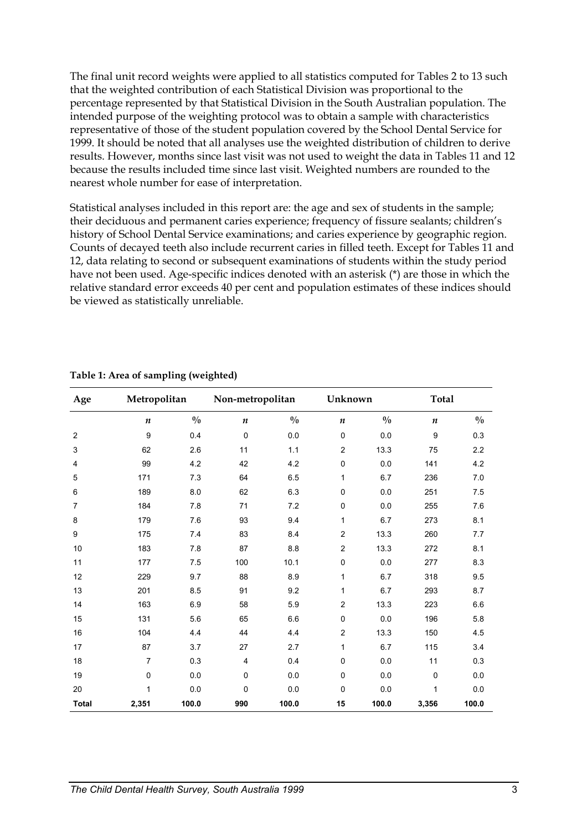The final unit record weights were applied to all statistics computed for Tables 2 to 13 such that the weighted contribution of each Statistical Division was proportional to the percentage represented by that Statistical Division in the South Australian population. The intended purpose of the weighting protocol was to obtain a sample with characteristics representative of those of the student population covered by the School Dental Service for 1999. It should be noted that all analyses use the weighted distribution of children to derive results. However, months since last visit was not used to weight the data in Tables 11 and 12 because the results included time since last visit. Weighted numbers are rounded to the nearest whole number for ease of interpretation.

Statistical analyses included in this report are: the age and sex of students in the sample; their deciduous and permanent caries experience; frequency of fissure sealants; children's history of School Dental Service examinations; and caries experience by geographic region. Counts of decayed teeth also include recurrent caries in filled teeth. Except for Tables 11 and 12, data relating to second or subsequent examinations of students within the study period have not been used. Age-specific indices denoted with an asterisk (\*) are those in which the relative standard error exceeds 40 per cent and population estimates of these indices should be viewed as statistically unreliable.

| Age            | Metropolitan   |               | Non-metropolitan |               |                  | Unknown       |                  | <b>Total</b>  |
|----------------|----------------|---------------|------------------|---------------|------------------|---------------|------------------|---------------|
|                | n              | $\frac{0}{0}$ | $\boldsymbol{n}$ | $\frac{0}{0}$ | $\boldsymbol{n}$ | $\frac{0}{0}$ | $\boldsymbol{n}$ | $\frac{0}{0}$ |
| $\overline{2}$ | 9              | 0.4           | $\mathbf 0$      | 0.0           | 0                | 0.0           | 9                | 0.3           |
| 3              | 62             | 2.6           | 11               | 1.1           | $\overline{c}$   | 13.3          | 75               | 2.2           |
| $\overline{4}$ | 99             | 4.2           | 42               | 4.2           | $\pmb{0}$        | 0.0           | 141              | 4.2           |
| 5              | 171            | 7.3           | 64               | 6.5           | 1                | 6.7           | 236              | 7.0           |
| $\,6$          | 189            | 8.0           | 62               | 6.3           | $\mathbf 0$      | 0.0           | 251              | 7.5           |
| 7              | 184            | 7.8           | 71               | 7.2           | $\pmb{0}$        | 0.0           | 255              | 7.6           |
| 8              | 179            | 7.6           | 93               | 9.4           | 1                | 6.7           | 273              | 8.1           |
| 9              | 175            | 7.4           | 83               | 8.4           | $\overline{c}$   | 13.3          | 260              | 7.7           |
| 10             | 183            | 7.8           | 87               | 8.8           | $\overline{2}$   | 13.3          | 272              | 8.1           |
| 11             | 177            | 7.5           | 100              | 10.1          | $\mathbf 0$      | 0.0           | 277              | 8.3           |
| 12             | 229            | 9.7           | 88               | 8.9           | 1                | 6.7           | 318              | 9.5           |
| 13             | 201            | 8.5           | 91               | 9.2           | 1                | 6.7           | 293              | 8.7           |
| 14             | 163            | 6.9           | 58               | 5.9           | $\overline{c}$   | 13.3          | 223              | 6.6           |
| 15             | 131            | 5.6           | 65               | 6.6           | $\pmb{0}$        | 0.0           | 196              | 5.8           |
| 16             | 104            | 4.4           | 44               | 4.4           | $\overline{c}$   | 13.3          | 150              | 4.5           |
| 17             | 87             | 3.7           | 27               | 2.7           | 1                | 6.7           | 115              | 3.4           |
| 18             | $\overline{7}$ | 0.3           | 4                | 0.4           | $\mathbf 0$      | 0.0           | 11               | 0.3           |
| 19             | 0              | 0.0           | $\Omega$         | 0.0           | $\mathbf 0$      | 0.0           | $\mathbf 0$      | 0.0           |
| 20             | 1              | 0.0           | $\mathbf 0$      | 0.0           | 0                | 0.0           | 1                | 0.0           |
| <b>Total</b>   | 2,351          | 100.0         | 990              | 100.0         | 15               | 100.0         | 3,356            | 100.0         |

#### **Table 1: Area of sampling (weighted)**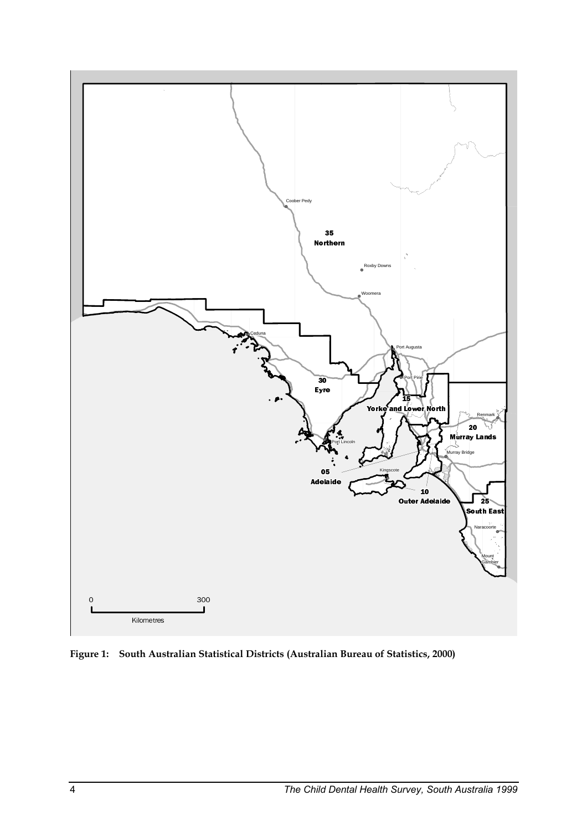

**Figure 1: South Australian Statistical Districts (Australian Bureau of Statistics, 2000)**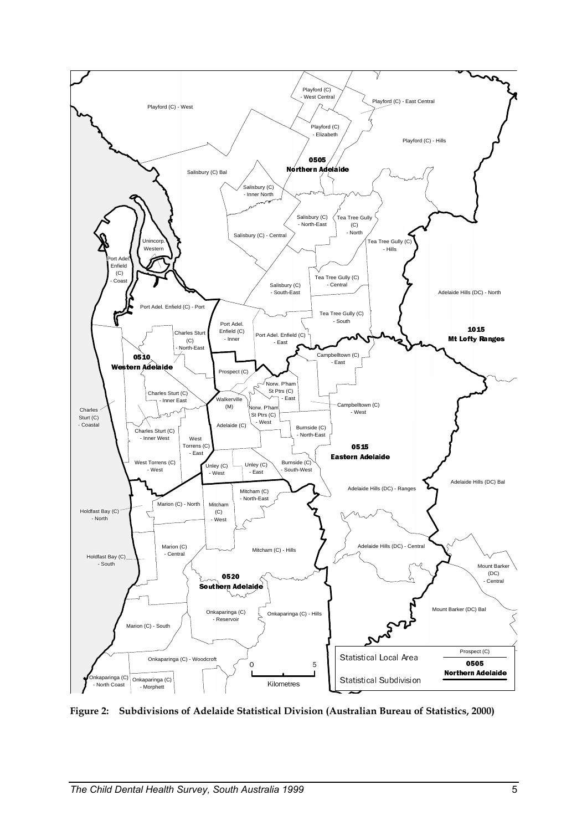

**Figure 2: Subdivisions of Adelaide Statistical Division (Australian Bureau of Statistics, 2000)**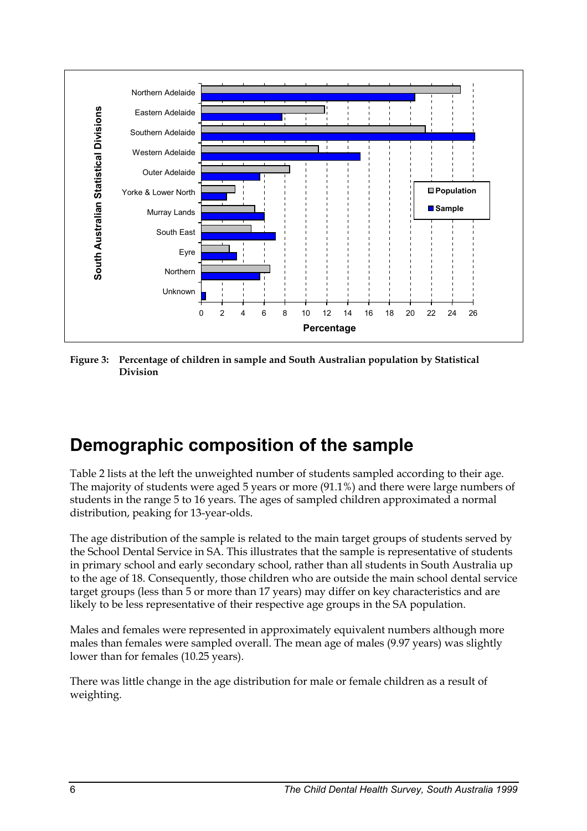

**Figure 3: Percentage of children in sample and South Australian population by Statistical Division** 

## **Demographic composition of the sample**

Table 2 lists at the left the unweighted number of students sampled according to their age. The majority of students were aged 5 years or more (91.1%) and there were large numbers of students in the range 5 to 16 years. The ages of sampled children approximated a normal distribution, peaking for 13-year-olds.

The age distribution of the sample is related to the main target groups of students served by the School Dental Service in SA. This illustrates that the sample is representative of students in primary school and early secondary school, rather than all students in South Australia up to the age of 18. Consequently, those children who are outside the main school dental service target groups (less than 5 or more than 17 years) may differ on key characteristics and are likely to be less representative of their respective age groups in the SA population.

Males and females were represented in approximately equivalent numbers although more males than females were sampled overall. The mean age of males (9.97 years) was slightly lower than for females (10.25 years).

There was little change in the age distribution for male or female children as a result of weighting.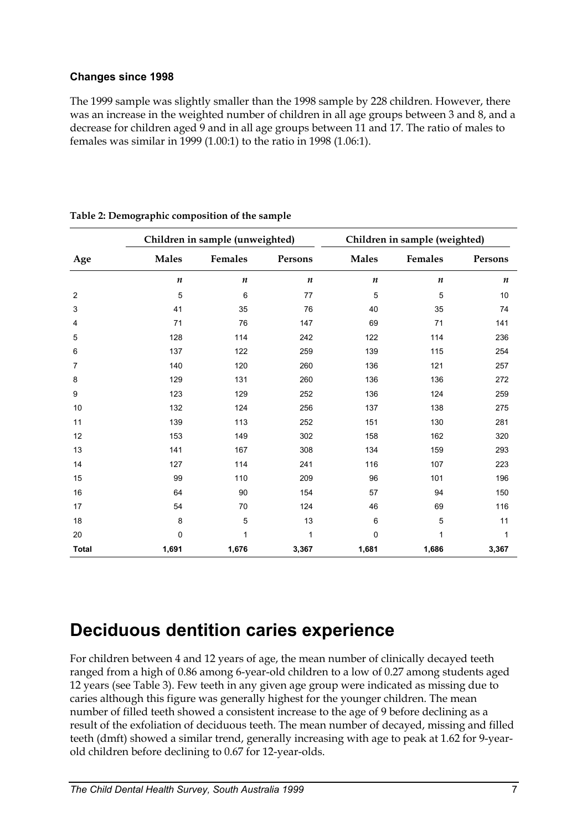### **Changes since 1998**

The 1999 sample was slightly smaller than the 1998 sample by 228 children. However, there was an increase in the weighted number of children in all age groups between 3 and 8, and a decrease for children aged 9 and in all age groups between 11 and 17. The ratio of males to females was similar in 1999 (1.00:1) to the ratio in 1998 (1.06:1).

|              |                  | Children in sample (unweighted) |                  | Children in sample (weighted) |                  |                  |  |
|--------------|------------------|---------------------------------|------------------|-------------------------------|------------------|------------------|--|
| Age          | <b>Males</b>     | Females                         | Persons          | <b>Males</b>                  | Females          | Persons          |  |
|              | $\boldsymbol{n}$ | $\boldsymbol{n}$                | $\boldsymbol{n}$ | $\boldsymbol{n}$              | $\boldsymbol{n}$ | $\boldsymbol{n}$ |  |
| 2            | 5                | 6                               | 77               | 5                             | 5                | 10               |  |
| 3            | 41               | 35                              | 76               | 40                            | 35               | 74               |  |
| 4            | 71               | 76                              | 147              | 69                            | 71               | 141              |  |
| 5            | 128              | 114                             | 242              | 122                           | 114              | 236              |  |
| 6            | 137              | 122                             | 259              | 139                           | 115              | 254              |  |
| 7            | 140              | 120                             | 260              | 136                           | 121              | 257              |  |
| 8            | 129              | 131                             | 260              | 136                           | 136              | 272              |  |
| 9            | 123              | 129                             | 252              | 136                           | 124              | 259              |  |
| 10           | 132              | 124                             | 256              | 137                           | 138              | 275              |  |
| 11           | 139              | 113                             | 252              | 151                           | 130              | 281              |  |
| 12           | 153              | 149                             | 302              | 158                           | 162              | 320              |  |
| 13           | 141              | 167                             | 308              | 134                           | 159              | 293              |  |
| 14           | 127              | 114                             | 241              | 116                           | 107              | 223              |  |
| 15           | 99               | 110                             | 209              | 96                            | 101              | 196              |  |
| 16           | 64               | 90                              | 154              | 57                            | 94               | 150              |  |
| 17           | 54               | 70                              | 124              | 46                            | 69               | 116              |  |
| 18           | 8                | 5                               | 13               | 6                             | 5                | 11               |  |
| 20           | $\mathbf 0$      | 1                               | $\mathbf{1}$     | $\pmb{0}$                     | 1                | 1                |  |
| <b>Total</b> | 1,691            | 1,676                           | 3,367            | 1,681                         | 1,686            | 3,367            |  |

**Table 2: Demographic composition of the sample** 

### **Deciduous dentition caries experience**

For children between 4 and 12 years of age, the mean number of clinically decayed teeth ranged from a high of 0.86 among 6-year-old children to a low of 0.27 among students aged 12 years (see Table 3). Few teeth in any given age group were indicated as missing due to caries although this figure was generally highest for the younger children. The mean number of filled teeth showed a consistent increase to the age of 9 before declining as a result of the exfoliation of deciduous teeth. The mean number of decayed, missing and filled teeth (dmft) showed a similar trend, generally increasing with age to peak at 1.62 for 9-yearold children before declining to 0.67 for 12-year-olds.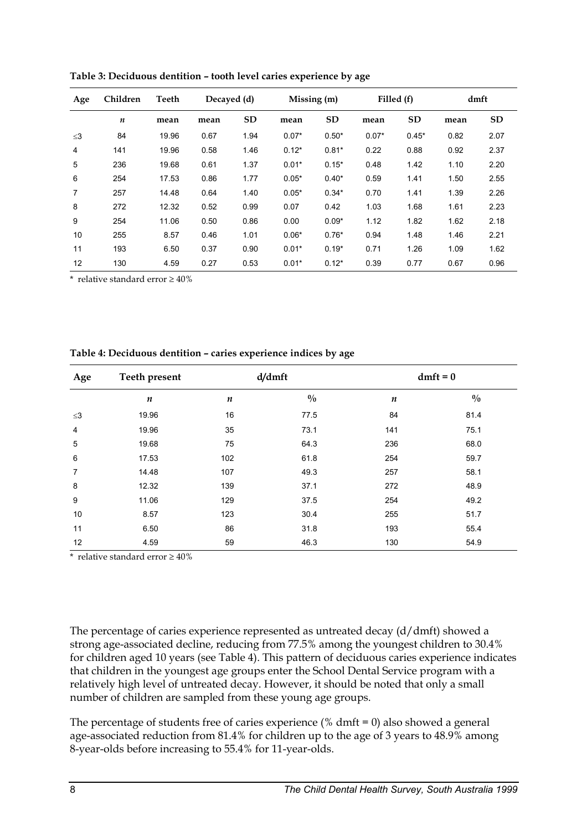| Age      | Children         | Teeth | Decayed (d) |           | Missing (m) |           | Filled (f) |           | dmft |           |
|----------|------------------|-------|-------------|-----------|-------------|-----------|------------|-----------|------|-----------|
|          | $\boldsymbol{n}$ | mean  | mean        | <b>SD</b> | mean        | <b>SD</b> | mean       | <b>SD</b> | mean | <b>SD</b> |
| $\leq$ 3 | 84               | 19.96 | 0.67        | 1.94      | $0.07*$     | $0.50*$   | $0.07*$    | $0.45*$   | 0.82 | 2.07      |
| 4        | 141              | 19.96 | 0.58        | 1.46      | $0.12*$     | $0.81*$   | 0.22       | 0.88      | 0.92 | 2.37      |
| 5        | 236              | 19.68 | 0.61        | 1.37      | $0.01*$     | $0.15*$   | 0.48       | 1.42      | 1.10 | 2.20      |
| 6        | 254              | 17.53 | 0.86        | 1.77      | $0.05*$     | $0.40*$   | 0.59       | 1.41      | 1.50 | 2.55      |
| 7        | 257              | 14.48 | 0.64        | 1.40      | $0.05*$     | $0.34*$   | 0.70       | 1.41      | 1.39 | 2.26      |
| 8        | 272              | 12.32 | 0.52        | 0.99      | 0.07        | 0.42      | 1.03       | 1.68      | 1.61 | 2.23      |
| 9        | 254              | 11.06 | 0.50        | 0.86      | 0.00        | $0.09*$   | 1.12       | 1.82      | 1.62 | 2.18      |
| 10       | 255              | 8.57  | 0.46        | 1.01      | $0.06*$     | $0.76*$   | 0.94       | 1.48      | 1.46 | 2.21      |
| 11       | 193              | 6.50  | 0.37        | 0.90      | $0.01*$     | $0.19*$   | 0.71       | 1.26      | 1.09 | 1.62      |
| 12       | 130              | 4.59  | 0.27        | 0.53      | $0.01*$     | $0.12*$   | 0.39       | 0.77      | 0.67 | 0.96      |

**Table 3: Deciduous dentition – tooth level caries experience by age** 

\* relative standard error  $\geq 40\%$ 

| Table 4: Deciduous dentition - caries experience indices by age |  |  |
|-----------------------------------------------------------------|--|--|
|                                                                 |  |  |

| Age      | Teeth present    | d/dmft           |               |                  | $dmft = 0$    |  |
|----------|------------------|------------------|---------------|------------------|---------------|--|
|          | $\boldsymbol{n}$ | $\boldsymbol{n}$ | $\frac{0}{0}$ | $\boldsymbol{n}$ | $\frac{0}{0}$ |  |
| $\leq$ 3 | 19.96            | 16               | 77.5          | 84               | 81.4          |  |
| 4        | 19.96            | 35               | 73.1          | 141              | 75.1          |  |
| 5        | 19.68            | 75               | 64.3          | 236              | 68.0          |  |
| 6        | 17.53            | 102              | 61.8          | 254              | 59.7          |  |
| 7        | 14.48            | 107              | 49.3          | 257              | 58.1          |  |
| 8        | 12.32            | 139              | 37.1          | 272              | 48.9          |  |
| 9        | 11.06            | 129              | 37.5          | 254              | 49.2          |  |
| 10       | 8.57             | 123              | 30.4          | 255              | 51.7          |  |
| 11       | 6.50             | 86               | 31.8          | 193              | 55.4          |  |
| 12       | 4.59             | 59               | 46.3          | 130              | 54.9          |  |

\* relative standard error  $\geq 40\%$ 

The percentage of caries experience represented as untreated decay (d/dmft) showed a strong age-associated decline, reducing from 77.5% among the youngest children to 30.4% for children aged 10 years (see Table 4). This pattern of deciduous caries experience indicates that children in the youngest age groups enter the School Dental Service program with a relatively high level of untreated decay. However, it should be noted that only a small number of children are sampled from these young age groups.

The percentage of students free of caries experience  $(\% \ dmft = 0)$  also showed a general age-associated reduction from 81.4% for children up to the age of 3 years to 48.9% among 8-year-olds before increasing to 55.4% for 11-year-olds.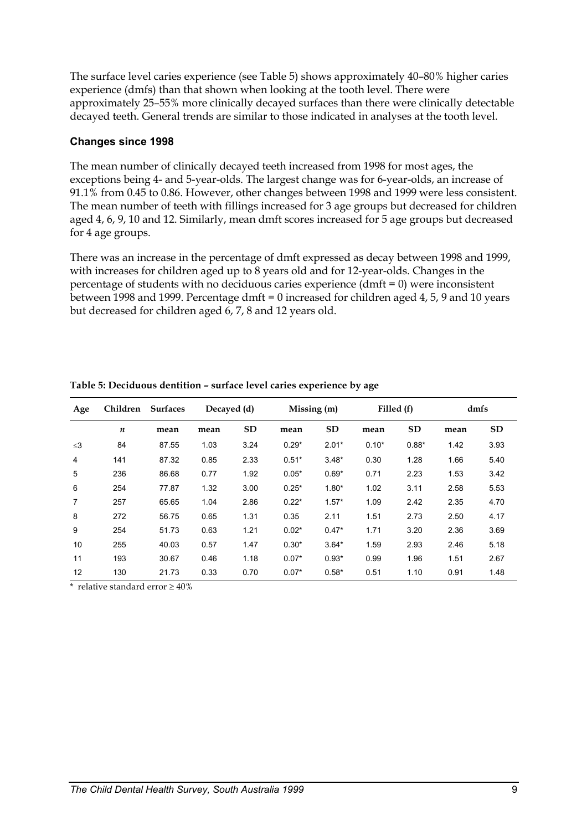The surface level caries experience (see Table 5) shows approximately 40–80% higher caries experience (dmfs) than that shown when looking at the tooth level. There were approximately 25–55% more clinically decayed surfaces than there were clinically detectable decayed teeth. General trends are similar to those indicated in analyses at the tooth level.

### **Changes since 1998**

The mean number of clinically decayed teeth increased from 1998 for most ages, the exceptions being 4- and 5-year-olds. The largest change was for 6-year-olds, an increase of 91.1% from 0.45 to 0.86. However, other changes between 1998 and 1999 were less consistent. The mean number of teeth with fillings increased for 3 age groups but decreased for children aged 4, 6, 9, 10 and 12. Similarly, mean dmft scores increased for 5 age groups but decreased for 4 age groups.

There was an increase in the percentage of dmft expressed as decay between 1998 and 1999, with increases for children aged up to 8 years old and for 12-year-olds. Changes in the percentage of students with no deciduous caries experience (dmft = 0) were inconsistent between 1998 and 1999. Percentage dmft = 0 increased for children aged 4, 5, 9 and 10 years but decreased for children aged 6, 7, 8 and 12 years old.

| Age            | Children | <b>Surfaces</b> | Decayed (d) |           | Missing (m) |           | Filled (f) |           | dmfs |      |
|----------------|----------|-----------------|-------------|-----------|-------------|-----------|------------|-----------|------|------|
|                | n        | mean            | mean        | <b>SD</b> | mean        | <b>SD</b> | mean       | <b>SD</b> | mean | SD   |
| $\leq$ 3       | 84       | 87.55           | 1.03        | 3.24      | $0.29*$     | $2.01*$   | $0.10*$    | $0.88*$   | 1.42 | 3.93 |
| 4              | 141      | 87.32           | 0.85        | 2.33      | $0.51*$     | $3.48*$   | 0.30       | 1.28      | 1.66 | 5.40 |
| 5              | 236      | 86.68           | 0.77        | 1.92      | $0.05*$     | $0.69*$   | 0.71       | 2.23      | 1.53 | 3.42 |
| 6              | 254      | 77.87           | 1.32        | 3.00      | $0.25*$     | $1.80*$   | 1.02       | 3.11      | 2.58 | 5.53 |
| $\overline{7}$ | 257      | 65.65           | 1.04        | 2.86      | $0.22*$     | $1.57*$   | 1.09       | 2.42      | 2.35 | 4.70 |
| 8              | 272      | 56.75           | 0.65        | 1.31      | 0.35        | 2.11      | 1.51       | 2.73      | 2.50 | 4.17 |
| 9              | 254      | 51.73           | 0.63        | 1.21      | $0.02*$     | $0.47*$   | 1.71       | 3.20      | 2.36 | 3.69 |
| 10             | 255      | 40.03           | 0.57        | 1.47      | $0.30*$     | $3.64*$   | 1.59       | 2.93      | 2.46 | 5.18 |
| 11             | 193      | 30.67           | 0.46        | 1.18      | $0.07*$     | $0.93*$   | 0.99       | 1.96      | 1.51 | 2.67 |
| 12             | 130      | 21.73           | 0.33        | 0.70      | $0.07*$     | $0.58*$   | 0.51       | 1.10      | 0.91 | 1.48 |

**Table 5: Deciduous dentition – surface level caries experience by age**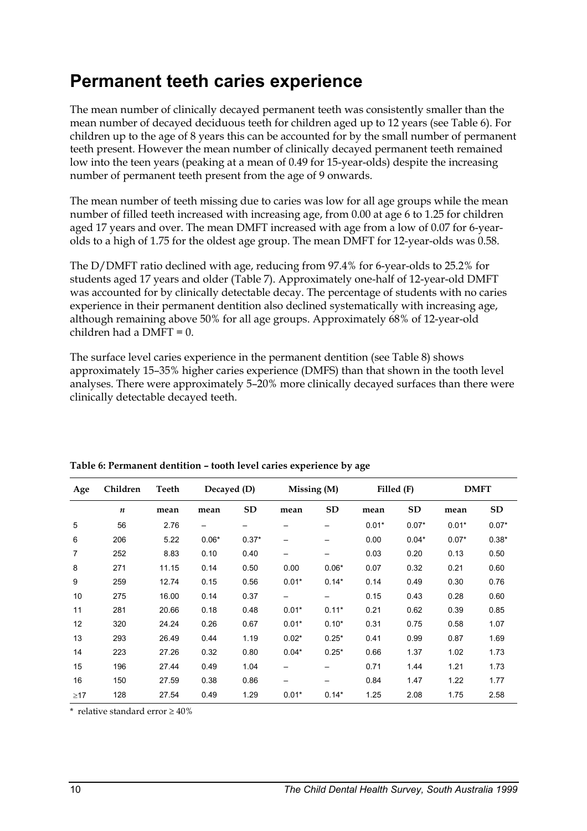## **Permanent teeth caries experience**

The mean number of clinically decayed permanent teeth was consistently smaller than the mean number of decayed deciduous teeth for children aged up to 12 years (see Table 6). For children up to the age of 8 years this can be accounted for by the small number of permanent teeth present. However the mean number of clinically decayed permanent teeth remained low into the teen years (peaking at a mean of 0.49 for 15-year-olds) despite the increasing number of permanent teeth present from the age of 9 onwards.

The mean number of teeth missing due to caries was low for all age groups while the mean number of filled teeth increased with increasing age, from 0.00 at age 6 to 1.25 for children aged 17 years and over. The mean DMFT increased with age from a low of 0.07 for 6-yearolds to a high of 1.75 for the oldest age group. The mean DMFT for 12-year-olds was 0.58.

The D/DMFT ratio declined with age, reducing from 97.4% for 6-year-olds to 25.2% for students aged 17 years and older (Table 7). Approximately one-half of 12-year-old DMFT was accounted for by clinically detectable decay. The percentage of students with no caries experience in their permanent dentition also declined systematically with increasing age, although remaining above 50% for all age groups. Approximately 68% of 12-year-old children had a DMFT = 0.

The surface level caries experience in the permanent dentition (see Table 8) shows approximately 15–35% higher caries experience (DMFS) than that shown in the tooth level analyses. There were approximately 5–20% more clinically decayed surfaces than there were clinically detectable decayed teeth.

| Age       | Children         | Teeth | Decayed (D) |         |         | Missing (M) |         | Filled (F) |         | <b>DMFT</b> |
|-----------|------------------|-------|-------------|---------|---------|-------------|---------|------------|---------|-------------|
|           | $\boldsymbol{n}$ | mean  | mean        | SD      | mean    | <b>SD</b>   | mean    | <b>SD</b>  | mean    | <b>SD</b>   |
| 5         | 56               | 2.76  | —           |         |         |             | $0.01*$ | $0.07*$    | $0.01*$ | $0.07*$     |
| 6         | 206              | 5.22  | $0.06*$     | $0.37*$ | —       |             | 0.00    | $0.04*$    | $0.07*$ | $0.38*$     |
| 7         | 252              | 8.83  | 0.10        | 0.40    |         |             | 0.03    | 0.20       | 0.13    | 0.50        |
| 8         | 271              | 11.15 | 0.14        | 0.50    | 0.00    | $0.06*$     | 0.07    | 0.32       | 0.21    | 0.60        |
| 9         | 259              | 12.74 | 0.15        | 0.56    | $0.01*$ | $0.14*$     | 0.14    | 0.49       | 0.30    | 0.76        |
| 10        | 275              | 16.00 | 0.14        | 0.37    | —       |             | 0.15    | 0.43       | 0.28    | 0.60        |
| 11        | 281              | 20.66 | 0.18        | 0.48    | $0.01*$ | $0.11*$     | 0.21    | 0.62       | 0.39    | 0.85        |
| 12        | 320              | 24.24 | 0.26        | 0.67    | $0.01*$ | $0.10*$     | 0.31    | 0.75       | 0.58    | 1.07        |
| 13        | 293              | 26.49 | 0.44        | 1.19    | $0.02*$ | $0.25*$     | 0.41    | 0.99       | 0.87    | 1.69        |
| 14        | 223              | 27.26 | 0.32        | 0.80    | $0.04*$ | $0.25*$     | 0.66    | 1.37       | 1.02    | 1.73        |
| 15        | 196              | 27.44 | 0.49        | 1.04    |         |             | 0.71    | 1.44       | 1.21    | 1.73        |
| 16        | 150              | 27.59 | 0.38        | 0.86    | —       |             | 0.84    | 1.47       | 1.22    | 1.77        |
| $\geq$ 17 | 128              | 27.54 | 0.49        | 1.29    | $0.01*$ | $0.14*$     | 1.25    | 2.08       | 1.75    | 2.58        |

**Table 6: Permanent dentition – tooth level caries experience by age**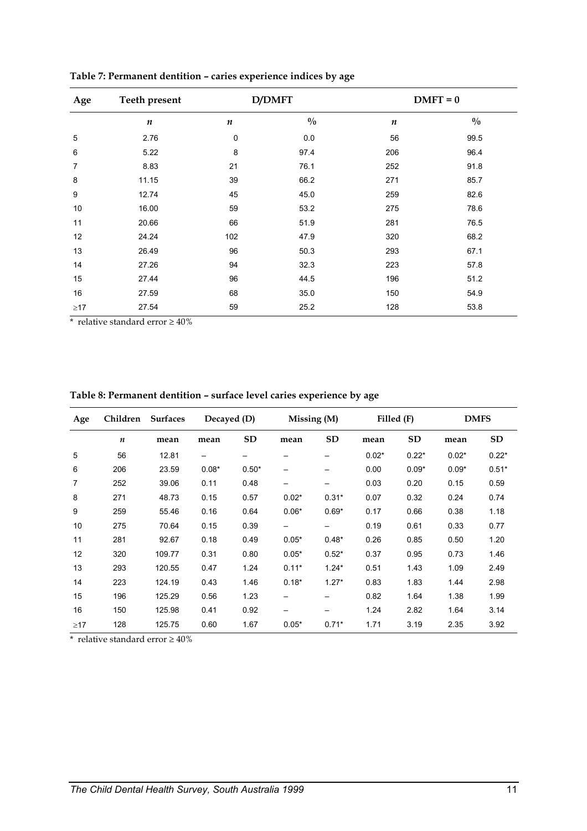| Age       | <b>Teeth present</b> |                  | <b>D/DMFT</b> |                  | $DMFT = 0$    |
|-----------|----------------------|------------------|---------------|------------------|---------------|
|           | $\boldsymbol{n}$     | $\boldsymbol{n}$ | $\frac{0}{0}$ | $\boldsymbol{n}$ | $\frac{0}{0}$ |
| 5         | 2.76                 | $\mathbf 0$      | 0.0           | 56               | 99.5          |
| 6         | 5.22                 | 8                | 97.4          | 206              | 96.4          |
| 7         | 8.83                 | 21               | 76.1          | 252              | 91.8          |
| 8         | 11.15                | 39               | 66.2          | 271              | 85.7          |
| 9         | 12.74                | 45               | 45.0          | 259              | 82.6          |
| 10        | 16.00                | 59               | 53.2          | 275              | 78.6          |
| 11        | 20.66                | 66               | 51.9          | 281              | 76.5          |
| 12        | 24.24                | 102              | 47.9          | 320              | 68.2          |
| 13        | 26.49                | 96               | 50.3          | 293              | 67.1          |
| 14        | 27.26                | 94               | 32.3          | 223              | 57.8          |
| 15        | 27.44                | 96               | 44.5          | 196              | 51.2          |
| 16        | 27.59                | 68               | 35.0          | 150              | 54.9          |
| $\geq$ 17 | 27.54                | 59               | 25.2          | 128              | 53.8          |

**Table 7: Permanent dentition – caries experience indices by age** 

\* relative standard error  $\geq 40\%$ 

| Table 8: Permanent dentition - surface level caries experience by age |  |  |
|-----------------------------------------------------------------------|--|--|
|-----------------------------------------------------------------------|--|--|

| Age       | Children         | <b>Surfaces</b> | Decayed (D) |           | Missing (M) |           | Filled (F) |           | <b>DMFS</b> |           |
|-----------|------------------|-----------------|-------------|-----------|-------------|-----------|------------|-----------|-------------|-----------|
|           | $\boldsymbol{n}$ | mean            | mean        | <b>SD</b> | mean        | <b>SD</b> | mean       | <b>SD</b> | mean        | <b>SD</b> |
| 5         | 56               | 12.81           |             |           |             |           | $0.02*$    | $0.22*$   | $0.02*$     | $0.22*$   |
| 6         | 206              | 23.59           | $0.08*$     | $0.50*$   |             |           | 0.00       | $0.09*$   | $0.09*$     | $0.51*$   |
| 7         | 252              | 39.06           | 0.11        | 0.48      | —           |           | 0.03       | 0.20      | 0.15        | 0.59      |
| 8         | 271              | 48.73           | 0.15        | 0.57      | $0.02*$     | $0.31*$   | 0.07       | 0.32      | 0.24        | 0.74      |
| 9         | 259              | 55.46           | 0.16        | 0.64      | $0.06*$     | $0.69*$   | 0.17       | 0.66      | 0.38        | 1.18      |
| 10        | 275              | 70.64           | 0.15        | 0.39      |             |           | 0.19       | 0.61      | 0.33        | 0.77      |
| 11        | 281              | 92.67           | 0.18        | 0.49      | $0.05*$     | $0.48*$   | 0.26       | 0.85      | 0.50        | 1.20      |
| 12        | 320              | 109.77          | 0.31        | 0.80      | $0.05*$     | $0.52*$   | 0.37       | 0.95      | 0.73        | 1.46      |
| 13        | 293              | 120.55          | 0.47        | 1.24      | $0.11*$     | $1.24*$   | 0.51       | 1.43      | 1.09        | 2.49      |
| 14        | 223              | 124.19          | 0.43        | 1.46      | $0.18*$     | $1.27*$   | 0.83       | 1.83      | 1.44        | 2.98      |
| 15        | 196              | 125.29          | 0.56        | 1.23      |             |           | 0.82       | 1.64      | 1.38        | 1.99      |
| 16        | 150              | 125.98          | 0.41        | 0.92      | —           |           | 1.24       | 2.82      | 1.64        | 3.14      |
| $\geq$ 17 | 128              | 125.75          | 0.60        | 1.67      | $0.05*$     | $0.71*$   | 1.71       | 3.19      | 2.35        | 3.92      |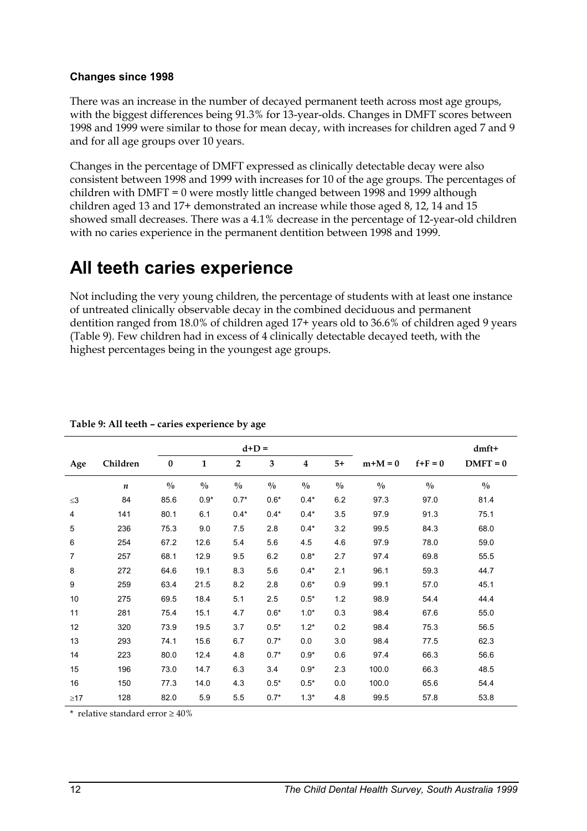#### **Changes since 1998**

There was an increase in the number of decayed permanent teeth across most age groups, with the biggest differences being 91.3% for 13-year-olds. Changes in DMFT scores between 1998 and 1999 were similar to those for mean decay, with increases for children aged 7 and 9 and for all age groups over 10 years.

Changes in the percentage of DMFT expressed as clinically detectable decay were also consistent between 1998 and 1999 with increases for 10 of the age groups. The percentages of children with DMFT = 0 were mostly little changed between 1998 and 1999 although children aged 13 and 17+ demonstrated an increase while those aged 8, 12, 14 and 15 showed small decreases. There was a 4.1% decrease in the percentage of 12-year-old children with no caries experience in the permanent dentition between 1998 and 1999.

## **All teeth caries experience**

Not including the very young children, the percentage of students with at least one instance of untreated clinically observable decay in the combined deciduous and permanent dentition ranged from 18.0% of children aged 17+ years old to 36.6% of children aged 9 years (Table 9). Few children had in excess of 4 clinically detectable decayed teeth, with the highest percentages being in the youngest age groups.

|                |                  |               |               | $d+D =$       |               |                         |               |               | dmft+         |               |
|----------------|------------------|---------------|---------------|---------------|---------------|-------------------------|---------------|---------------|---------------|---------------|
| Age            | Children         | $\bf{0}$      | $\mathbf{1}$  | 2             | 3             | $\overline{\mathbf{4}}$ | $5+$          | $m+M=0$       | $f+F=0$       | $DMFT = 0$    |
|                | $\boldsymbol{n}$ | $\frac{0}{0}$ | $\frac{0}{0}$ | $\frac{0}{0}$ | $\frac{0}{0}$ | $\frac{0}{0}$           | $\frac{0}{0}$ | $\frac{0}{0}$ | $\frac{0}{0}$ | $\frac{0}{0}$ |
| $\leq$ 3       | 84               | 85.6          | $0.9*$        | $0.7*$        | $0.6*$        | $0.4*$                  | 6.2           | 97.3          | 97.0          | 81.4          |
| 4              | 141              | 80.1          | 6.1           | $0.4*$        | $0.4*$        | $0.4*$                  | 3.5           | 97.9          | 91.3          | 75.1          |
| 5              | 236              | 75.3          | 9.0           | 7.5           | 2.8           | $0.4*$                  | 3.2           | 99.5          | 84.3          | 68.0          |
| 6              | 254              | 67.2          | 12.6          | 5.4           | 5.6           | 4.5                     | 4.6           | 97.9          | 78.0          | 59.0          |
| $\overline{7}$ | 257              | 68.1          | 12.9          | 9.5           | 6.2           | $0.8*$                  | 2.7           | 97.4          | 69.8          | 55.5          |
| 8              | 272              | 64.6          | 19.1          | 8.3           | 5.6           | $0.4*$                  | 2.1           | 96.1          | 59.3          | 44.7          |
| 9              | 259              | 63.4          | 21.5          | 8.2           | 2.8           | $0.6*$                  | 0.9           | 99.1          | 57.0          | 45.1          |
| 10             | 275              | 69.5          | 18.4          | 5.1           | 2.5           | $0.5*$                  | 1.2           | 98.9          | 54.4          | 44.4          |
| 11             | 281              | 75.4          | 15.1          | 4.7           | $0.6*$        | $1.0*$                  | 0.3           | 98.4          | 67.6          | 55.0          |
| 12             | 320              | 73.9          | 19.5          | 3.7           | $0.5*$        | $1.2*$                  | 0.2           | 98.4          | 75.3          | 56.5          |
| 13             | 293              | 74.1          | 15.6          | 6.7           | $0.7*$        | 0.0                     | 3.0           | 98.4          | 77.5          | 62.3          |
| 14             | 223              | 80.0          | 12.4          | 4.8           | $0.7*$        | $0.9*$                  | 0.6           | 97.4          | 66.3          | 56.6          |
| 15             | 196              | 73.0          | 14.7          | 6.3           | 3.4           | $0.9*$                  | 2.3           | 100.0         | 66.3          | 48.5          |
| 16             | 150              | 77.3          | 14.0          | 4.3           | $0.5*$        | $0.5*$                  | 0.0           | 100.0         | 65.6          | 54.4          |
| $\geq$ 17      | 128              | 82.0          | 5.9           | 5.5           | $0.7*$        | $1.3*$                  | 4.8           | 99.5          | 57.8          | 53.8          |

**Table 9: All teeth – caries experience by age**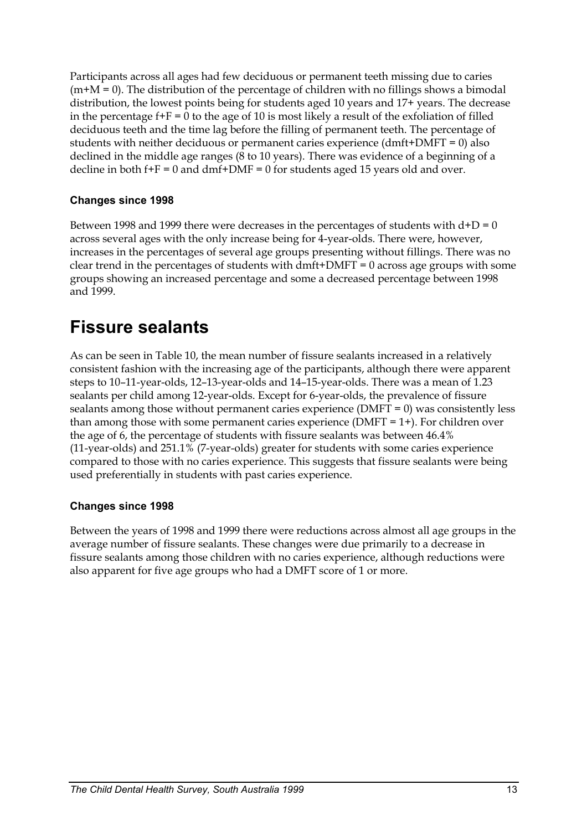Participants across all ages had few deciduous or permanent teeth missing due to caries  $(m+M = 0)$ . The distribution of the percentage of children with no fillings shows a bimodal distribution, the lowest points being for students aged 10 years and 17+ years. The decrease in the percentage  $f + F = 0$  to the age of 10 is most likely a result of the exfoliation of filled deciduous teeth and the time lag before the filling of permanent teeth. The percentage of students with neither deciduous or permanent caries experience (dmft+DMFT = 0) also declined in the middle age ranges (8 to 10 years). There was evidence of a beginning of a decline in both  $f + F = 0$  and  $dmf + DMF = 0$  for students aged 15 years old and over.

### **Changes since 1998**

Between 1998 and 1999 there were decreases in the percentages of students with  $d+D = 0$ across several ages with the only increase being for 4-year-olds. There were, however, increases in the percentages of several age groups presenting without fillings. There was no clear trend in the percentages of students with dmft+DMFT = 0 across age groups with some groups showing an increased percentage and some a decreased percentage between 1998 and 1999.

## **Fissure sealants**

As can be seen in Table 10, the mean number of fissure sealants increased in a relatively consistent fashion with the increasing age of the participants, although there were apparent steps to 10–11-year-olds, 12–13-year-olds and 14–15-year-olds. There was a mean of 1.23 sealants per child among 12-year-olds. Except for 6-year-olds, the prevalence of fissure sealants among those without permanent caries experience (DMFT = 0) was consistently less than among those with some permanent caries experience (DMFT = 1+). For children over the age of 6, the percentage of students with fissure sealants was between 46.4% (11-year-olds) and 251.1% (7-year-olds) greater for students with some caries experience compared to those with no caries experience. This suggests that fissure sealants were being used preferentially in students with past caries experience.

### **Changes since 1998**

Between the years of 1998 and 1999 there were reductions across almost all age groups in the average number of fissure sealants. These changes were due primarily to a decrease in fissure sealants among those children with no caries experience, although reductions were also apparent for five age groups who had a DMFT score of 1 or more.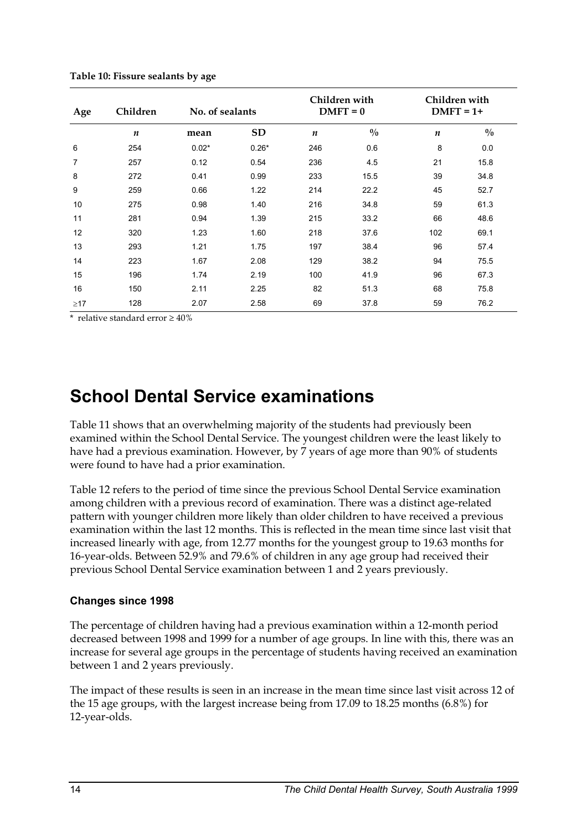| Age       | Children         | No. of sealants |           |                  | Children with<br>$DMFT = 0$ | Children with<br>$DMFT = 1+$ |               |  |
|-----------|------------------|-----------------|-----------|------------------|-----------------------------|------------------------------|---------------|--|
|           | $\boldsymbol{n}$ | mean            | <b>SD</b> | $\boldsymbol{n}$ | $\frac{0}{0}$               | $\boldsymbol{n}$             | $\frac{0}{0}$ |  |
| 6         | 254              | $0.02*$         | $0.26*$   | 246              | 0.6                         | 8                            | 0.0           |  |
| 7         | 257              | 0.12            | 0.54      | 236              | 4.5                         | 21                           | 15.8          |  |
| 8         | 272              | 0.41            | 0.99      | 233              | 15.5                        | 39                           | 34.8          |  |
| 9         | 259              | 0.66            | 1.22      | 214              | 22.2                        | 45                           | 52.7          |  |
| 10        | 275              | 0.98            | 1.40      | 216              | 34.8                        | 59                           | 61.3          |  |
| 11        | 281              | 0.94            | 1.39      | 215              | 33.2                        | 66                           | 48.6          |  |
| 12        | 320              | 1.23            | 1.60      | 218              | 37.6                        | 102                          | 69.1          |  |
| 13        | 293              | 1.21            | 1.75      | 197              | 38.4                        | 96                           | 57.4          |  |
| 14        | 223              | 1.67            | 2.08      | 129              | 38.2                        | 94                           | 75.5          |  |
| 15        | 196              | 1.74            | 2.19      | 100              | 41.9                        | 96                           | 67.3          |  |
| 16        | 150              | 2.11            | 2.25      | 82               | 51.3                        | 68                           | 75.8          |  |
| $\geq$ 17 | 128              | 2.07            | 2.58      | 69               | 37.8                        | 59                           | 76.2          |  |

**Table 10: Fissure sealants by age** 

\* relative standard error  $\geq 40\%$ 

## **School Dental Service examinations**

Table 11 shows that an overwhelming majority of the students had previously been examined within the School Dental Service. The youngest children were the least likely to have had a previous examination. However, by 7 years of age more than 90% of students were found to have had a prior examination.

Table 12 refers to the period of time since the previous School Dental Service examination among children with a previous record of examination. There was a distinct age-related pattern with younger children more likely than older children to have received a previous examination within the last 12 months. This is reflected in the mean time since last visit that increased linearly with age, from 12.77 months for the youngest group to 19.63 months for 16-year-olds. Between 52.9% and 79.6% of children in any age group had received their previous School Dental Service examination between 1 and 2 years previously.

#### **Changes since 1998**

The percentage of children having had a previous examination within a 12-month period decreased between 1998 and 1999 for a number of age groups. In line with this, there was an increase for several age groups in the percentage of students having received an examination between 1 and 2 years previously.

The impact of these results is seen in an increase in the mean time since last visit across 12 of the 15 age groups, with the largest increase being from 17.09 to 18.25 months (6.8%) for 12-year-olds.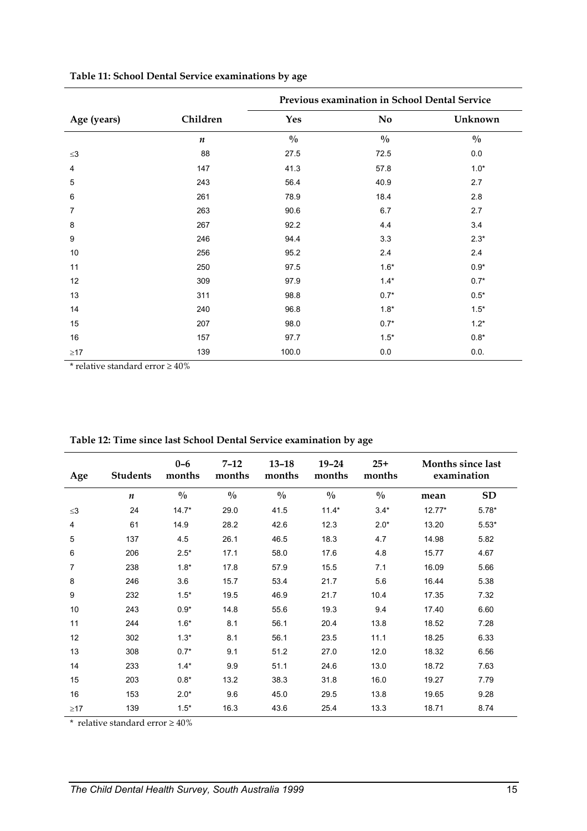|             |                  | Previous examination in School Dental Service |               |               |  |  |  |  |
|-------------|------------------|-----------------------------------------------|---------------|---------------|--|--|--|--|
| Age (years) | Children         | <b>Yes</b>                                    | <b>No</b>     | Unknown       |  |  |  |  |
|             | $\boldsymbol{n}$ | $\frac{0}{0}$                                 | $\frac{0}{0}$ | $\frac{0}{0}$ |  |  |  |  |
| $\leq$ 3    | 88               | 27.5                                          | 72.5          | 0.0           |  |  |  |  |
| 4           | 147              | 41.3                                          | 57.8          | $1.0*$        |  |  |  |  |
| 5           | 243              | 56.4                                          | 40.9          | 2.7           |  |  |  |  |
| 6           | 261              | 78.9                                          | 18.4          | 2.8           |  |  |  |  |
| 7           | 263              | 90.6                                          | 6.7           | 2.7           |  |  |  |  |
| 8           | 267              | 92.2                                          | 4.4           | 3.4           |  |  |  |  |
| 9           | 246              | 94.4                                          | 3.3           | $2.3*$        |  |  |  |  |
| 10          | 256              | 95.2                                          | 2.4           | 2.4           |  |  |  |  |
| 11          | 250              | 97.5                                          | $1.6*$        | $0.9*$        |  |  |  |  |
| 12          | 309              | 97.9                                          | $1.4*$        | $0.7*$        |  |  |  |  |
| 13          | 311              | 98.8                                          | $0.7*$        | $0.5*$        |  |  |  |  |
| 14          | 240              | 96.8                                          | $1.8*$        | $1.5*$        |  |  |  |  |
| 15          | 207              | 98.0                                          | $0.7*$        | $1.2*$        |  |  |  |  |
| 16          | 157              | 97.7                                          | $1.5*$        | $0.8*$        |  |  |  |  |
| $\geq$ 17   | 139              | 100.0                                         | $0.0\,$       | 0.0.          |  |  |  |  |

### **Table 11: School Dental Service examinations by age**

\* relative standard error  $\geq 40\%$ 

| Age       | <b>Students</b>  | $0-6$<br>months | $7 - 12$<br>months | $13 - 18$<br>months | $19 - 24$<br>months | $25+$<br>months |          | Months since last<br>examination |
|-----------|------------------|-----------------|--------------------|---------------------|---------------------|-----------------|----------|----------------------------------|
|           | $\boldsymbol{n}$ | $\frac{0}{0}$   | $\frac{0}{0}$      | $\frac{0}{0}$       | $\frac{0}{0}$       | $\frac{0}{0}$   | mean     | <b>SD</b>                        |
| $\leq$ 3  | 24               | $14.7*$         | 29.0               | 41.5                | $11.4*$             | $3.4*$          | $12.77*$ | $5.78*$                          |
| 4         | 61               | 14.9            | 28.2               | 42.6                | 12.3                | $2.0*$          | 13.20    | $5.53*$                          |
| 5         | 137              | 4.5             | 26.1               | 46.5                | 18.3                | 4.7             | 14.98    | 5.82                             |
| 6         | 206              | $2.5*$          | 17.1               | 58.0                | 17.6                | 4.8             | 15.77    | 4.67                             |
| 7         | 238              | $1.8*$          | 17.8               | 57.9                | 15.5                | 7.1             | 16.09    | 5.66                             |
| 8         | 246              | 3.6             | 15.7               | 53.4                | 21.7                | 5.6             | 16.44    | 5.38                             |
| 9         | 232              | $1.5*$          | 19.5               | 46.9                | 21.7                | 10.4            | 17.35    | 7.32                             |
| 10        | 243              | $0.9*$          | 14.8               | 55.6                | 19.3                | 9.4             | 17.40    | 6.60                             |
| 11        | 244              | $1.6*$          | 8.1                | 56.1                | 20.4                | 13.8            | 18.52    | 7.28                             |
| 12        | 302              | $1.3*$          | 8.1                | 56.1                | 23.5                | 11.1            | 18.25    | 6.33                             |
| 13        | 308              | $0.7*$          | 9.1                | 51.2                | 27.0                | 12.0            | 18.32    | 6.56                             |
| 14        | 233              | $1.4*$          | 9.9                | 51.1                | 24.6                | 13.0            | 18.72    | 7.63                             |
| 15        | 203              | $0.8*$          | 13.2               | 38.3                | 31.8                | 16.0            | 19.27    | 7.79                             |
| 16        | 153              | $2.0*$          | 9.6                | 45.0                | 29.5                | 13.8            | 19.65    | 9.28                             |
| $\geq$ 17 | 139              | $1.5*$          | 16.3               | 43.6                | 25.4                | 13.3            | 18.71    | 8.74                             |

**Table 12: Time since last School Dental Service examination by age**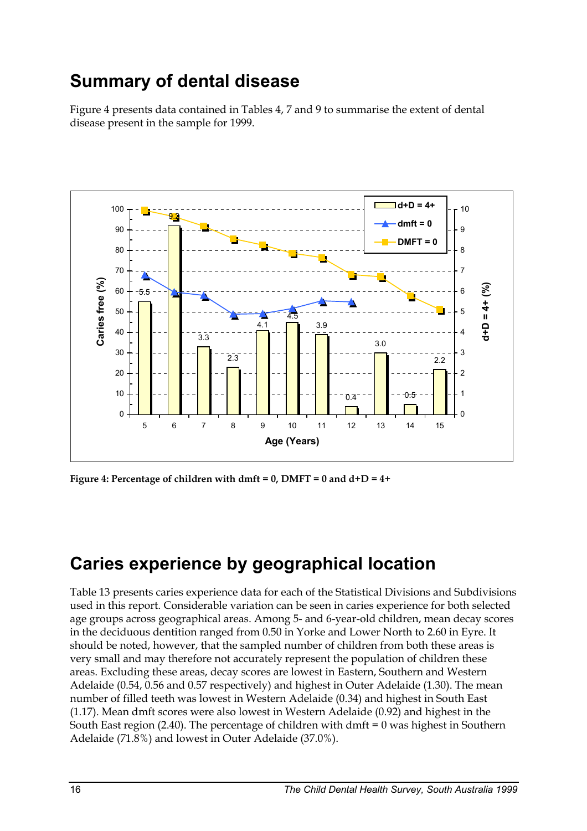## **Summary of dental disease**

Figure 4 presents data contained in Tables 4, 7 and 9 to summarise the extent of dental disease present in the sample for 1999.



**Figure 4: Percentage of children with dmft = 0, DMFT = 0 and d+D = 4+**

## **Caries experience by geographical location**

Table 13 presents caries experience data for each of the Statistical Divisions and Subdivisions used in this report. Considerable variation can be seen in caries experience for both selected age groups across geographical areas. Among 5- and 6-year-old children, mean decay scores in the deciduous dentition ranged from 0.50 in Yorke and Lower North to 2.60 in Eyre. It should be noted, however, that the sampled number of children from both these areas is very small and may therefore not accurately represent the population of children these areas. Excluding these areas, decay scores are lowest in Eastern, Southern and Western Adelaide (0.54, 0.56 and 0.57 respectively) and highest in Outer Adelaide (1.30). The mean number of filled teeth was lowest in Western Adelaide (0.34) and highest in South East (1.17). Mean dmft scores were also lowest in Western Adelaide (0.92) and highest in the South East region (2.40). The percentage of children with dmft  $= 0$  was highest in Southern Adelaide (71.8%) and lowest in Outer Adelaide (37.0%).